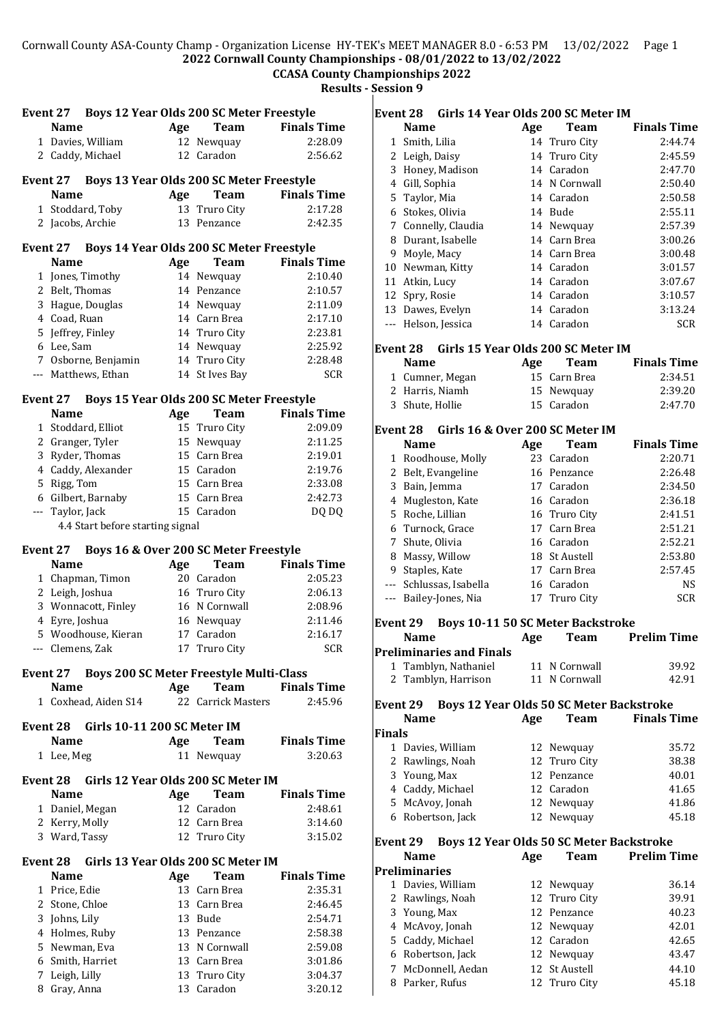### Cornwall County ASA-County Champ - Organization License HY-TEK's MEET MANAGER 8.0 - 6:53 PM 13/02/2022 Page 1 **2022 Cornwall County Championships - 08/01/2022 to 13/02/2022**

# **CCASA County Championships 2022**

**Results - Session 9**

|              | Event 27 Boys 12 Year Olds 200 SC Meter Freestyle      |     |                                                |                    |
|--------------|--------------------------------------------------------|-----|------------------------------------------------|--------------------|
|              | <b>Name</b>                                            | Age | Team                                           | <b>Finals Time</b> |
|              | 1 Davies, William                                      |     | 12 Newquay                                     | 2:28.09            |
|              |                                                        |     | 12 Caradon                                     | 2:56.62            |
|              | 2 Caddy, Michael                                       |     |                                                |                    |
|              | Event 27                                               |     | Boys 13 Year Olds 200 SC Meter Freestyle       |                    |
|              | <b>Name</b>                                            | Age | Team                                           | <b>Finals Time</b> |
|              | 1 Stoddard, Toby                                       | 13  | Truro City                                     | 2:17.28            |
|              | 2 Jacobs, Archie                                       |     | 13 Penzance                                    | 2:42.35            |
|              | Event 27 Boys 14 Year Olds 200 SC Meter Freestyle      |     |                                                |                    |
|              | <b>Name</b>                                            | Age | Team                                           | <b>Finals Time</b> |
|              | 1 Jones, Timothy                                       |     | 14 Newquay                                     | 2:10.40            |
|              | 2 Belt, Thomas                                         |     | 14 Penzance                                    | 2:10.57            |
|              | 3 Hague, Douglas                                       |     | 14 Newquay                                     | 2:11.09            |
|              | 4 Coad, Ruan                                           |     | 14 Carn Brea                                   | 2:17.10            |
|              | 5 Jeffrey, Finley                                      |     | 14 Truro City                                  | 2:23.81            |
|              | 6 Lee, Sam                                             |     | 14 Newquay                                     | 2:25.92            |
|              | 7 Osborne, Benjamin                                    |     | 14 Truro City                                  | 2:28.48            |
|              | --- Matthews, Ethan                                    |     | 14 St Ives Bay                                 | <b>SCR</b>         |
|              | Event 27                                               |     | Boys 15 Year Olds 200 SC Meter Freestyle       |                    |
|              | <b>Name</b>                                            | Age | Team                                           | <b>Finals Time</b> |
| $\mathbf{1}$ | Stoddard, Elliot                                       |     | 15 Truro City                                  | 2:09.09            |
|              | 2 Granger, Tyler                                       |     | 15 Newquay                                     | 2:11.25            |
|              | 3 Ryder, Thomas                                        |     | 15 Carn Brea                                   | 2:19.01            |
|              |                                                        |     |                                                |                    |
|              | 4 Caddy, Alexander                                     |     | 15 Caradon<br>15 Carn Brea                     | 2:19.76<br>2:33.08 |
|              | 5 Rigg, Tom                                            |     |                                                |                    |
|              | 6 Gilbert, Barnaby                                     |     | 15 Carn Brea<br>15 Caradon                     | 2:42.73            |
|              | --- Taylor, Jack<br>4.4 Start before starting signal   |     |                                                | DQ DQ              |
|              |                                                        |     |                                                |                    |
|              |                                                        |     |                                                |                    |
|              | Event 27                                               |     | Boys 16 & Over 200 SC Meter Freestyle          |                    |
|              | <b>Name</b>                                            | Age | <b>Team</b>                                    | <b>Finals Time</b> |
|              | 1 Chapman, Timon                                       |     | 20 Caradon                                     | 2:05.23            |
|              | 2 Leigh, Joshua                                        |     | 16 Truro City                                  | 2:06.13            |
|              | 3 Wonnacott, Finley                                    |     | 16 N Cornwall                                  | 2:08.96            |
|              | 4 Eyre, Joshua                                         |     | 16 Newquay                                     | 2:11.46            |
|              | 5 Woodhouse, Kieran                                    |     | 17 Caradon                                     | 2:16.17            |
|              | --- Clemens, Zak                                       |     | 17 Truro City                                  | SCR                |
|              | Event 27                                               |     | <b>Boys 200 SC Meter Freestyle Multi-Class</b> |                    |
|              | <b>Name</b>                                            | Age | Team                                           | <b>Finals Time</b> |
|              | 1 Coxhead, Aiden S14                                   |     | 22 Carrick Masters                             | 2:45.96            |
|              |                                                        |     |                                                |                    |
|              | Girls 10-11 200 SC Meter IM<br>Event 28<br><b>Name</b> | Age | Team                                           | <b>Finals Time</b> |
|              | 1 Lee, Meg                                             |     | 11 Newquay                                     | 3:20.63            |
|              |                                                        |     |                                                |                    |
|              | <b>Event 28</b><br><b>Name</b>                         |     | Girls 12 Year Olds 200 SC Meter IM             |                    |
|              |                                                        | Age | Team                                           | <b>Finals Time</b> |
|              | 1 Daniel, Megan                                        |     | 12 Caradon                                     | 2:48.61            |
|              | 2 Kerry, Molly<br>3 Ward, Tassy                        |     | 12 Carn Brea<br>12 Truro City                  | 3:14.60<br>3:15.02 |
|              |                                                        |     |                                                |                    |
|              | Event 28 Girls 13 Year Olds 200 SC Meter IM            |     |                                                |                    |
|              | <b>Name</b>                                            | Age | <b>Team</b>                                    | <b>Finals Time</b> |
|              | 1 Price, Edie                                          |     | 13 Carn Brea                                   | 2:35.31            |
|              | 2 Stone, Chloe                                         |     | 13 Carn Brea                                   | 2:46.45            |
|              | 3 Johns, Lily                                          |     | 13 Bude                                        | 2:54.71            |
|              | 4 Holmes, Ruby                                         |     | 13 Penzance                                    | 2:58.38            |
|              | 5 Newman, Eva                                          |     | 13 N Cornwall                                  | 2:59.08            |
|              | 6 Smith, Harriet<br>7 Leigh, Lilly                     |     | 13 Carn Brea<br>13 Truro City                  | 3:01.86<br>3:04.37 |

Gray, Anna 13 Caradon 3:20.12

| Event 28        |                      | Girls 14 Year Olds 200 SC Meter IM       |     |                             |                    |
|-----------------|----------------------|------------------------------------------|-----|-----------------------------|--------------------|
|                 | <b>Name</b>          |                                          | Age | Team                        | <b>Finals Time</b> |
| 1               | Smith, Lilia         |                                          |     | 14 Truro City               | 2:44.74            |
|                 | 2 Leigh, Daisy       |                                          |     | 14 Truro City               | 2:45.59            |
|                 |                      | 3 Honey, Madison                         |     | 14 Caradon                  | 2:47.70            |
|                 | 4 Gill, Sophia       |                                          |     | 14 N Cornwall               | 2:50.40            |
| 5               | Taylor, Mia          |                                          |     | 14 Caradon                  | 2:50.58            |
|                 | 6 Stokes, Olivia     |                                          |     | 14 Bude                     | 2:55.11            |
| 7               |                      | Connelly, Claudia                        |     | 14 Newquay                  | 2:57.39            |
|                 |                      | 8 Durant, Isabelle                       |     | 14 Carn Brea                | 3:00.26            |
| 9               | Moyle, Macy          |                                          |     | 14 Carn Brea                | 3:00.48            |
| 10 <sup>1</sup> |                      | Newman, Kitty                            |     | 14 Caradon                  | 3:01.57            |
|                 | 11 Atkin, Lucy       |                                          |     | 14 Caradon                  | 3:07.67            |
| 12              | Spry, Rosie          |                                          |     | 14 Caradon                  | 3:10.57            |
|                 |                      |                                          |     | 14 Caradon                  | 3:13.24            |
| $\frac{1}{2}$   |                      | 13 Dawes, Evelyn                         |     | 14 Caradon                  |                    |
|                 |                      | Helson, Jessica                          |     |                             | <b>SCR</b>         |
| Event 28        |                      | Girls 15 Year Olds 200 SC Meter IM       |     |                             |                    |
|                 | Name                 |                                          | Age | <b>Team</b>                 | <b>Finals Time</b> |
|                 |                      | 1 Cumner, Megan                          |     | 15 Carn Brea                | 2:34.51            |
| 2               |                      | Harris, Niamh                            |     | 15 Newquay                  | 2:39.20            |
|                 | 3 Shute, Hollie      |                                          |     | 15 Caradon                  | 2:47.70            |
|                 |                      |                                          |     |                             |                    |
|                 |                      | Event 28 Girls 16 & Over 200 SC Meter IM |     |                             |                    |
|                 | <b>Name</b>          |                                          | Age | <b>Team</b>                 | <b>Finals Time</b> |
|                 |                      | 1 Roodhouse, Molly                       |     | 23 Caradon                  | 2:20.71            |
|                 |                      | 2 Belt, Evangeline                       |     | 16 Penzance                 | 2:26.48            |
| 3               | Bain, Jemma          |                                          |     | 17 Caradon                  | 2:34.50            |
|                 |                      | 4 Mugleston, Kate                        |     | 16 Caradon                  | 2:36.18            |
| 5               | Roche, Lillian       |                                          |     | 16 Truro City               | 2:41.51            |
|                 |                      | 6 Turnock, Grace                         |     | 17 Carn Brea                | 2:51.21            |
| 7               | Shute, Olivia        |                                          |     | 16 Caradon                  | 2:52.21            |
| 8               |                      | Massy, Willow                            |     | 18 St Austell               | 2:53.80            |
| 9               | Staples, Kate        |                                          |     | 17 Carn Brea                | 2:57.45            |
|                 |                      | --- Schlussas, Isabella                  |     | 16 Caradon                  | <b>NS</b>          |
|                 |                      | --- Bailey-Jones, Nia                    | 17  | Truro City                  | <b>SCR</b>         |
|                 |                      |                                          |     |                             |                    |
| Event 29        |                      | <b>Boys 10-11 50 SC Meter Backstroke</b> |     |                             |                    |
|                 | <b>Name</b>          |                                          | Age | <b>Team</b>                 | <b>Prelim Time</b> |
|                 |                      | <b>Preliminaries and Finals</b>          |     |                             |                    |
| 1               |                      | Tamblyn, Nathaniel                       |     | 11 N Cornwall               | 39.92              |
| 2               |                      | Tamblyn, Harrison                        |     | 11 N Cornwall               | 42.91              |
|                 |                      |                                          |     |                             |                    |
| Event 29        | <b>Name</b>          | Boys 12 Year Olds 50 SC Meter Backstroke |     |                             |                    |
|                 |                      |                                          | Age | <b>Team</b>                 | <b>Finals Time</b> |
| Finals          |                      | 1 Davies, William                        |     |                             | 35.72              |
|                 |                      | 2 Rawlings, Noah                         |     | 12 Newquay<br>12 Truro City | 38.38              |
|                 | 3 Young, Max         |                                          |     | 12 Penzance                 | 40.01              |
|                 |                      | 4 Caddy, Michael                         |     | 12 Caradon                  | 41.65              |
|                 |                      |                                          |     |                             | 41.86              |
|                 |                      | 5 McAvoy, Jonah                          |     | 12 Newquay                  | 45.18              |
|                 |                      | 6 Robertson, Jack                        |     | 12 Newquay                  |                    |
| Event 29        |                      | Boys 12 Year Olds 50 SC Meter Backstroke |     |                             |                    |
|                 | <b>Name</b>          |                                          | Age | <b>Team</b>                 | <b>Prelim Time</b> |
|                 | <b>Preliminaries</b> |                                          |     |                             |                    |
|                 |                      | 1 Davies, William                        |     | 12 Newquay                  | 36.14              |
|                 |                      | 2 Rawlings, Noah                         |     | 12 Truro City               | 39.91              |
|                 | 3 Young, Max         |                                          |     | 12 Penzance                 | 40.23              |
|                 |                      | 4 McAvoy, Jonah                          |     | 12 Newquay                  | 42.01              |
|                 |                      | 5 Caddy, Michael                         |     | 12 Caradon                  | 42.65              |
|                 |                      | 6 Robertson, Jack                        |     | 12 Newquay                  | 43.47              |
| 7               |                      | McDonnell, Aedan                         |     | 12 St Austell               | 44.10              |
|                 |                      | 8 Parker, Rufus                          |     | 12 Truro City               | 45.18              |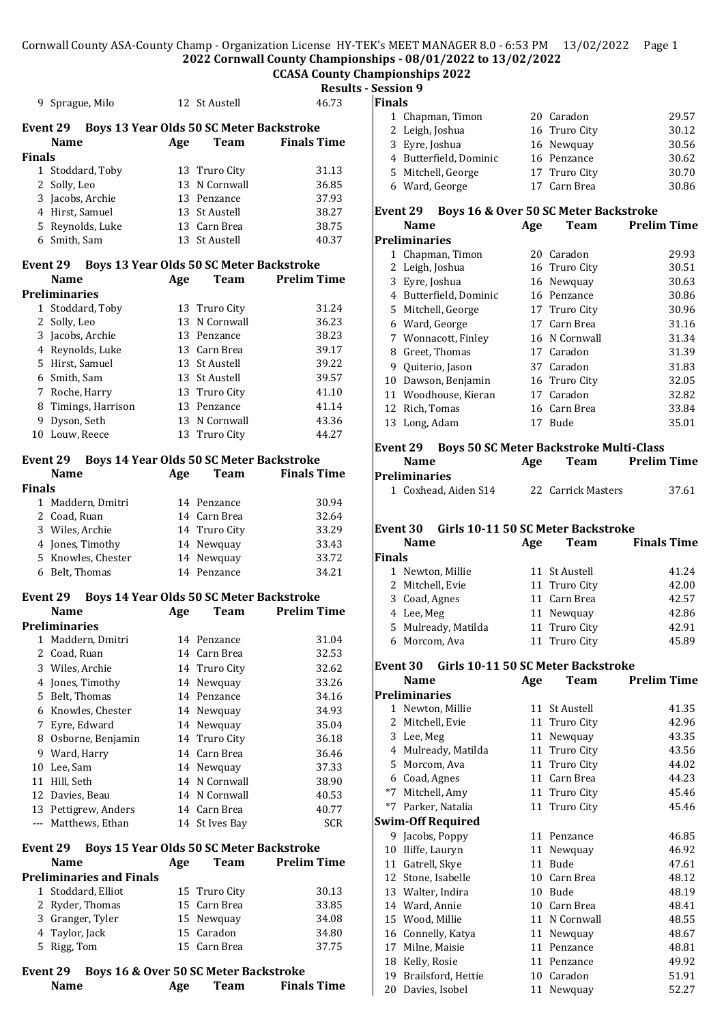Cornwall County ASA-County Champ - Organization License HY-TEK's MEET MANAGER 8.0 - 6:53 PM 13/02/2022 Page 1 **2022 Cornwall County Championships - 08/01/2022 to 13/02/2022**

### **CCASA County Championships 2022**

|       | <b>Results - Session 9</b> |
|-------|----------------------------|
| 46.73 | Finals                     |

| 1 Chapman, Timon       | 20 Caradon    | 29.57 |
|------------------------|---------------|-------|
| 2 Leigh, Joshua        | 16 Truro City | 30.12 |
| 3 Eyre, Joshua         | 16 Newquay    | 30.56 |
| 4 Butterfield, Dominic | 16 Penzance   | 30.62 |
| 5 Mitchell, George     | 17 Truro City | 30.70 |
| 6 Ward, George         | 17 Carn Brea  | 30.86 |
|                        |               |       |

### **Event 29 Boys 16 & Over 50 SC Meter Backstroke**

|    | Name                 | Age | Team          | <b>Prelim Time</b> |
|----|----------------------|-----|---------------|--------------------|
|    | <b>Preliminaries</b> |     |               |                    |
| 1  | Chapman, Timon       | 20  | Caradon       | 29.93              |
| 2  | Leigh, Joshua        |     | 16 Truro City | 30.51              |
| 3  | Eyre, Joshua         |     | 16 Newquay    | 30.63              |
| 4  | Butterfield, Dominic |     | 16 Penzance   | 30.86              |
| 5  | Mitchell, George     |     | 17 Truro City | 30.96              |
| 6  | Ward, George         |     | 17 Carn Brea  | 31.16              |
| 7  | Wonnacott, Finley    |     | 16 N Cornwall | 31.34              |
| 8  | Greet, Thomas        |     | 17 Caradon    | 31.39              |
| 9  | Quiterio, Jason      |     | 37 Caradon    | 31.83              |
| 10 | Dawson, Benjamin     |     | 16 Truro City | 32.05              |
| 11 | Woodhouse, Kieran    | 17  | Caradon       | 32.82              |
| 12 | Rich, Tomas          |     | 16 Carn Brea  | 33.84              |
| 13 | Long, Adam           | 17  | Bude          | 35.01              |
|    |                      |     |               |                    |

### **Event 29 Boys 50 SC Meter Backstroke Multi-Class**

| Name                 | Age | Team               | <b>Prelim Time</b> |
|----------------------|-----|--------------------|--------------------|
| Preliminaries        |     |                    |                    |
| 1 Coxhead. Aiden S14 |     | 22 Carrick Masters | 37.61              |

### **Event 30 Girls 10-11 50 SC Meter Backstroke**

|               | <b>Name</b>         | Age | <b>Team</b>   | <b>Finals Time</b> |
|---------------|---------------------|-----|---------------|--------------------|
| <b>Finals</b> |                     |     |               |                    |
|               | 1 Newton, Millie    |     | 11 St Austell | 41.24              |
|               | 2 Mitchell, Evie    |     | 11 Truro City | 42.00              |
|               | 3 Coad, Agnes       |     | 11 Carn Brea  | 42.57              |
|               | 4 Lee, Meg          |     | 11 Newquay    | 42.86              |
|               | 5 Mulready, Matilda |     | 11 Truro City | 42.91              |
|               | 6 Morcom, Ava       |     | 11 Truro City | 45.89              |
|               |                     |     |               |                    |

#### **Event 30 Girls 10-11 50 SC Meter Backstroke**

|              | Name                     | Age | Team              | <b>Prelim Time</b> |
|--------------|--------------------------|-----|-------------------|--------------------|
|              | <b>Preliminaries</b>     |     |                   |                    |
| $\mathbf{1}$ | Newton, Millie           | 11  | <b>St Austell</b> | 41.35              |
| 2            | Mitchell, Evie           |     | 11 Truro City     | 42.96              |
| 3            | Lee, Meg                 | 11  | Newquay           | 43.35              |
| 4            | Mulready, Matilda        | 11  | Truro City        | 43.56              |
| 5            | Morcom, Ava              |     | 11 Truro City     | 44.02              |
| 6            | Coad, Agnes              | 11  | Carn Brea         | 44.23              |
| $*7$         | Mitchell, Amy            |     | 11 Truro City     | 45.46              |
|              | *7 Parker, Natalia       |     | 11 Truro City     | 45.46              |
|              | <b>Swim-Off Required</b> |     |                   |                    |
|              | 9 Jacobs, Poppy          | 11  | Penzance          | 46.85              |
| 10           | Iliffe, Lauryn           | 11  | Newquay           | 46.92              |
| 11           | Gatrell, Skye            | 11  | Bude              | 47.61              |
| 12           | Stone, Isabelle          | 10  | Carn Brea         | 48.12              |
|              | 13 Walter, Indira        | 10  | Bude              | 48.19              |
|              | 14 Ward, Annie           | 10  | Carn Brea         | 48.41              |
| 15           | Wood, Millie             | 11  | N Cornwall        | 48.55              |
| 16           | Connelly, Katya          | 11  | Newquay           | 48.67              |
| 17           | Milne, Maisie            | 11  | Penzance          | 48.81              |
| 18           | Kelly, Rosie             | 11  | Penzance          | 49.92              |
| 19           | Brailsford, Hettie       | 10  | Caradon           | 51.91              |
| 20           | Davies, Isobel           | 11  | Newquay           | 52.27              |

## 9 Sprague, Milo 12 St Austell **Event 29 Boys 13 Year Olds 50 SC Meter Backstroke Name Age Team Finals Time Finals** 1 Stoddard, Toby 13 Truro City 31.13 2 Solly, Leo 13 N Cornwall 36.85 Jacobs, Archie 13 Penzance 37.93 4 Hirst, Samuel 13 St Austell 38.27 Reynolds, Luke 13 Carn Brea 38.75 Smith, Sam 13 St Austell 40.37 **Event 29 Boys 13 Year Olds 50 SC Meter Backstroke Name Age Team Prelim Time Preliminaries** Stoddard, Toby 13 Truro City 31.24 2 Solly, Leo 13 N Cornwall 36.23 Jacobs, Archie 13 Penzance 38.23 Reynolds, Luke 13 Carn Brea 39.17 Hirst, Samuel 13 St Austell 39.22 Smith, Sam 13 St Austell 39.57 Roche, Harry 13 Truro City 41.10 8 Timings, Harrison 13 Penzance 41.14 Dyson, Seth 13 N Cornwall 43.36 Louw, Reece 13 Truro City 44.27 **Event 29 Boys 14 Year Olds 50 SC Meter Backstroke Name Age Team Finals Time Finals** Maddern, Dmitri 14 Penzance 30.94 Coad, Ruan 14 Carn Brea 32.64 Wiles, Archie 14 Truro City 33.29 Jones, Timothy 14 Newquay 33.43 Knowles, Chester 14 Newquay 33.72 Belt, Thomas 14 Penzance 34.21 **Event 29 Boys 14 Year Olds 50 SC Meter Backstroke Name Age Team Prelim Time Preliminaries** Maddern, Dmitri 14 Penzance 31.04 Coad, Ruan 14 Carn Brea 32.53 Wiles, Archie 14 Truro City 32.62 Jones, Timothy 14 Newquay 33.26 Belt, Thomas 14 Penzance 34.16 Knowles, Chester 14 Newquay 34.93 Eyre, Edward 14 Newquay 35.04 Osborne, Benjamin 14 Truro City 36.18 Ward, Harry 14 Carn Brea 36.46 Lee, Sam 14 Newquay 37.33 Hill, Seth 14 N Cornwall 38.90 12 Davies, Beau 14 N Cornwall 40.53 13 Pettigrew, Anders 14 Carn Brea 40.77 --- Matthews, Ethan 14 St Ives Bay SCR

#### **Event 29 Boys 15 Year Olds 50 SC Meter Backstroke Name Age Team Prelim Time**

| маше                     | ALC | теаш          | гтении типе |
|--------------------------|-----|---------------|-------------|
| Preliminaries and Finals |     |               |             |
| 1 Stoddard, Elliot       |     | 15 Truro City | 30.13       |
| 2 Ryder, Thomas          |     | 15 Carn Brea  | 33.85       |
| 3 Granger, Tyler         |     | 15 Newquay    | 34.08       |
| 4 Taylor, Jack           |     | 15 Caradon    | 34.80       |
| 5 Rigg, Tom              |     | 15 Carn Brea  | 37.75       |
|                          |     |               |             |

### **Event 29 Boys 16 & Over 50 SC Meter Backstroke**

| Name | Age | Team | <b>Finals Time</b> |
|------|-----|------|--------------------|
|      |     |      |                    |